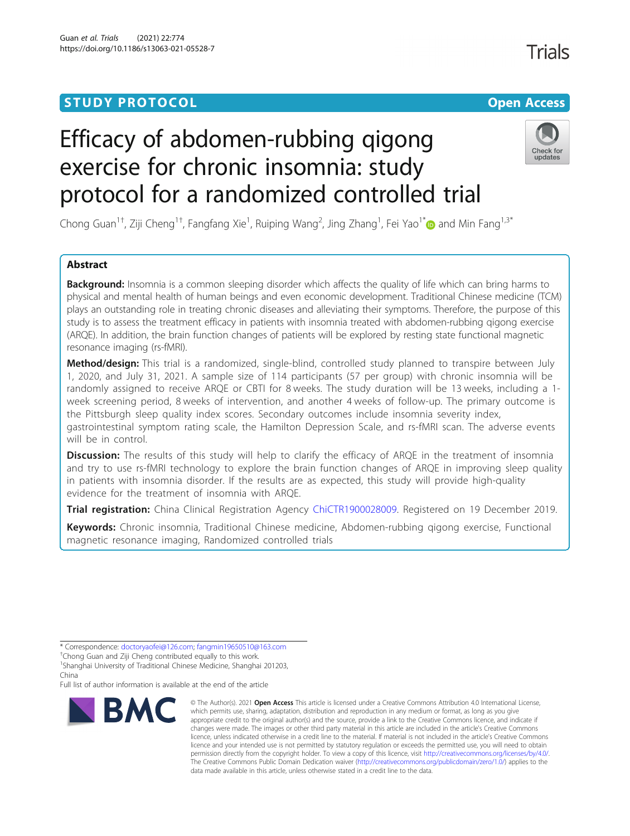## **STUDY PROTOCOL CONSUMING THE RESERVE ACCESS**

# Efficacy of abdomen-rubbing qigong exercise for chronic insomnia: study protocol for a randomized controlled trial



Chong Guan<sup>1†</sup>, Ziji Cheng<sup>1†</sup>, Fangfang Xie<sup>1</sup>, Ruiping Wang<sup>2</sup>, Jing Zhang<sup>1</sup>, Fei Yao<sup>1\*</sup>@ and Min Fang<sup>1,3\*</sup>

## Abstract

Background: Insomnia is a common sleeping disorder which affects the quality of life which can bring harms to physical and mental health of human beings and even economic development. Traditional Chinese medicine (TCM) plays an outstanding role in treating chronic diseases and alleviating their symptoms. Therefore, the purpose of this study is to assess the treatment efficacy in patients with insomnia treated with abdomen-rubbing qigong exercise (ARQE). In addition, the brain function changes of patients will be explored by resting state functional magnetic resonance imaging (rs-fMRI).

Method/design: This trial is a randomized, single-blind, controlled study planned to transpire between July 1, 2020, and July 31, 2021. A sample size of 114 participants (57 per group) with chronic insomnia will be randomly assigned to receive ARQE or CBTI for 8 weeks. The study duration will be 13 weeks, including a 1week screening period, 8 weeks of intervention, and another 4 weeks of follow-up. The primary outcome is the Pittsburgh sleep quality index scores. Secondary outcomes include insomnia severity index, gastrointestinal symptom rating scale, the Hamilton Depression Scale, and rs-fMRI scan. The adverse events will be in control.

Discussion: The results of this study will help to clarify the efficacy of ARQE in the treatment of insomnia and try to use rs-fMRI technology to explore the brain function changes of ARQE in improving sleep quality in patients with insomnia disorder. If the results are as expected, this study will provide high-quality evidence for the treatment of insomnia with ARQE.

Trial registration: China Clinical Registration Agency [ChiCTR1900028009](http://www.chictr.org.cn/showproj.aspx?proj=46679). Registered on 19 December 2019.

Keywords: Chronic insomnia, Traditional Chinese medicine, Abdomen-rubbing qigong exercise, Functional magnetic resonance imaging, Randomized controlled trials

Full list of author information is available at the end of the article



<sup>©</sup> The Author(s), 2021 **Open Access** This article is licensed under a Creative Commons Attribution 4.0 International License, which permits use, sharing, adaptation, distribution and reproduction in any medium or format, as long as you give appropriate credit to the original author(s) and the source, provide a link to the Creative Commons licence, and indicate if changes were made. The images or other third party material in this article are included in the article's Creative Commons licence, unless indicated otherwise in a credit line to the material. If material is not included in the article's Creative Commons licence and your intended use is not permitted by statutory regulation or exceeds the permitted use, you will need to obtain permission directly from the copyright holder. To view a copy of this licence, visit [http://creativecommons.org/licenses/by/4.0/.](http://creativecommons.org/licenses/by/4.0/) The Creative Commons Public Domain Dedication waiver [\(http://creativecommons.org/publicdomain/zero/1.0/](http://creativecommons.org/publicdomain/zero/1.0/)) applies to the data made available in this article, unless otherwise stated in a credit line to the data.

<sup>\*</sup> Correspondence: [doctoryaofei@126.com;](mailto:doctoryaofei@126.com) [fangmin19650510@163.com](mailto:fangmin19650510@163.com) †

<sup>&</sup>lt;sup>†</sup>Chong Guan and Ziji Cheng contributed equally to this work

<sup>&</sup>lt;sup>1</sup>Shanghai University of Traditional Chinese Medicine, Shanghai 201203, China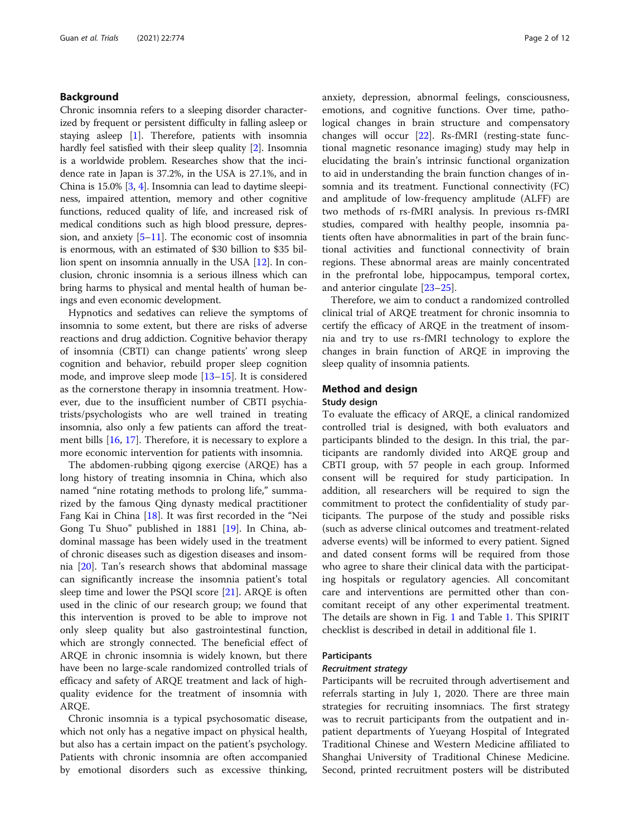## Background

Chronic insomnia refers to a sleeping disorder characterized by frequent or persistent difficulty in falling asleep or staying asleep [[1](#page-10-0)]. Therefore, patients with insomnia hardly feel satisfied with their sleep quality [\[2](#page-10-0)]. Insomnia is a worldwide problem. Researches show that the incidence rate in Japan is 37.2%, in the USA is 27.1%, and in China is 15.0% [\[3](#page-10-0), [4\]](#page-10-0). Insomnia can lead to daytime sleepiness, impaired attention, memory and other cognitive functions, reduced quality of life, and increased risk of medical conditions such as high blood pressure, depression, and anxiety  $[5-11]$  $[5-11]$  $[5-11]$  $[5-11]$ . The economic cost of insomnia is enormous, with an estimated of \$30 billion to \$35 billion spent on insomnia annually in the USA [[12](#page-10-0)]. In conclusion, chronic insomnia is a serious illness which can bring harms to physical and mental health of human beings and even economic development.

Hypnotics and sedatives can relieve the symptoms of insomnia to some extent, but there are risks of adverse reactions and drug addiction. Cognitive behavior therapy of insomnia (CBTI) can change patients' wrong sleep cognition and behavior, rebuild proper sleep cognition mode, and improve sleep mode [[13](#page-10-0)–[15\]](#page-10-0). It is considered as the cornerstone therapy in insomnia treatment. However, due to the insufficient number of CBTI psychiatrists/psychologists who are well trained in treating insomnia, also only a few patients can afford the treatment bills [[16](#page-10-0), [17](#page-10-0)]. Therefore, it is necessary to explore a more economic intervention for patients with insomnia.

The abdomen-rubbing qigong exercise (ARQE) has a long history of treating insomnia in China, which also named "nine rotating methods to prolong life," summarized by the famous Qing dynasty medical practitioner Fang Kai in China [[18\]](#page-10-0). It was first recorded in the "Nei Gong Tu Shuo" published in 1881 [\[19](#page-10-0)]. In China, abdominal massage has been widely used in the treatment of chronic diseases such as digestion diseases and insomnia [\[20](#page-10-0)]. Tan's research shows that abdominal massage can significantly increase the insomnia patient's total sleep time and lower the PSQI score [[21\]](#page-10-0). ARQE is often used in the clinic of our research group; we found that this intervention is proved to be able to improve not only sleep quality but also gastrointestinal function, which are strongly connected. The beneficial effect of ARQE in chronic insomnia is widely known, but there have been no large-scale randomized controlled trials of efficacy and safety of ARQE treatment and lack of highquality evidence for the treatment of insomnia with ARQE.

Chronic insomnia is a typical psychosomatic disease, which not only has a negative impact on physical health, but also has a certain impact on the patient's psychology. Patients with chronic insomnia are often accompanied by emotional disorders such as excessive thinking, anxiety, depression, abnormal feelings, consciousness, emotions, and cognitive functions. Over time, pathological changes in brain structure and compensatory changes will occur [[22\]](#page-10-0). Rs-fMRI (resting-state functional magnetic resonance imaging) study may help in elucidating the brain's intrinsic functional organization to aid in understanding the brain function changes of insomnia and its treatment. Functional connectivity (FC) and amplitude of low-frequency amplitude (ALFF) are two methods of rs-fMRI analysis. In previous rs-fMRI studies, compared with healthy people, insomnia patients often have abnormalities in part of the brain functional activities and functional connectivity of brain regions. These abnormal areas are mainly concentrated in the prefrontal lobe, hippocampus, temporal cortex, and anterior cingulate [\[23](#page-10-0)–[25\]](#page-10-0).

Therefore, we aim to conduct a randomized controlled clinical trial of ARQE treatment for chronic insomnia to certify the efficacy of ARQE in the treatment of insomnia and try to use rs-fMRI technology to explore the changes in brain function of ARQE in improving the sleep quality of insomnia patients.

## Method and design

## Study design

To evaluate the efficacy of ARQE, a clinical randomized controlled trial is designed, with both evaluators and participants blinded to the design. In this trial, the participants are randomly divided into ARQE group and CBTI group, with 57 people in each group. Informed consent will be required for study participation. In addition, all researchers will be required to sign the commitment to protect the confidentiality of study participants. The purpose of the study and possible risks (such as adverse clinical outcomes and treatment-related adverse events) will be informed to every patient. Signed and dated consent forms will be required from those who agree to share their clinical data with the participating hospitals or regulatory agencies. All concomitant care and interventions are permitted other than concomitant receipt of any other experimental treatment. The details are shown in Fig. [1](#page-2-0) and Table [1.](#page-3-0) This SPIRIT checklist is described in detail in additional file 1.

## Participants

## Recruitment strategy

Participants will be recruited through advertisement and referrals starting in July 1, 2020. There are three main strategies for recruiting insomniacs. The first strategy was to recruit participants from the outpatient and inpatient departments of Yueyang Hospital of Integrated Traditional Chinese and Western Medicine affiliated to Shanghai University of Traditional Chinese Medicine. Second, printed recruitment posters will be distributed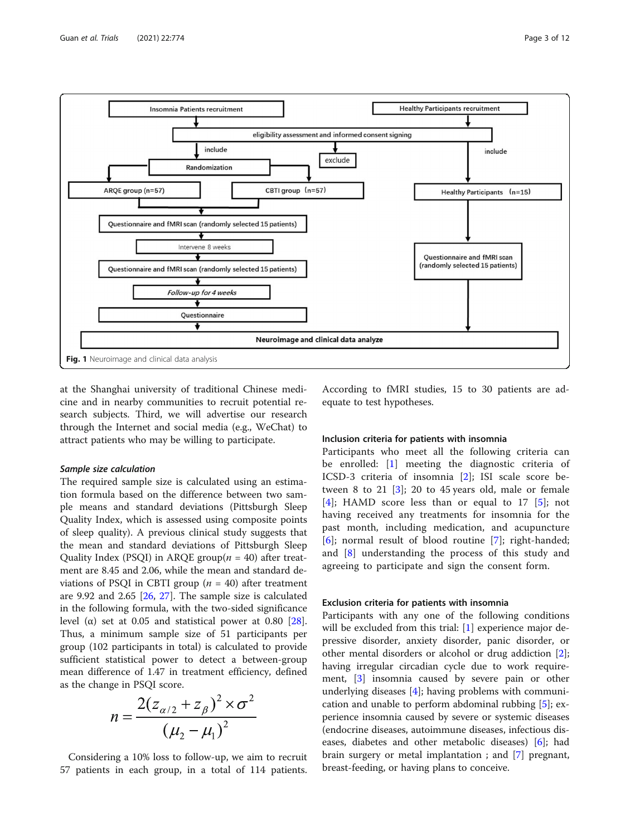<span id="page-2-0"></span>

at the Shanghai university of traditional Chinese medicine and in nearby communities to recruit potential research subjects. Third, we will advertise our research through the Internet and social media (e.g., WeChat) to attract patients who may be willing to participate.

## Sample size calculation

The required sample size is calculated using an estimation formula based on the difference between two sample means and standard deviations (Pittsburgh Sleep Quality Index, which is assessed using composite points of sleep quality). A previous clinical study suggests that the mean and standard deviations of Pittsburgh Sleep Quality Index (PSQI) in ARQE group $(n = 40)$  after treatment are 8.45 and 2.06, while the mean and standard deviations of PSQI in CBTI group ( $n = 40$ ) after treatment are 9.92 and 2.65 [\[26](#page-10-0), [27\]](#page-10-0). The sample size is calculated in the following formula, with the two-sided significance level (α) set at 0.05 and statistical power at 0.80 [\[28](#page-10-0)]. Thus, a minimum sample size of 51 participants per group (102 participants in total) is calculated to provide sufficient statistical power to detect a between-group mean difference of 1.47 in treatment efficiency, defined as the change in PSQI score.

$$
n = \frac{2(z_{\alpha/2} + z_{\beta})^2 \times \sigma^2}{(\mu_2 - \mu_1)^2}
$$

Considering a 10% loss to follow-up, we aim to recruit 57 patients in each group, in a total of 114 patients.

According to fMRI studies, 15 to 30 patients are adequate to test hypotheses.

## Inclusion criteria for patients with insomnia

Participants who meet all the following criteria can be enrolled: [\[1](#page-10-0)] meeting the diagnostic criteria of ICSD-3 criteria of insomnia [\[2](#page-10-0)]; ISI scale score between 8 to 21  $[3]$  $[3]$ ; 20 to 45 years old, male or female [[4](#page-10-0)]; HAMD score less than or equal to 17 [[5\]](#page-10-0); not having received any treatments for insomnia for the past month, including medication, and acupuncture [[6](#page-10-0)]; normal result of blood routine [[7\]](#page-10-0); right-handed; and [[8\]](#page-10-0) understanding the process of this study and agreeing to participate and sign the consent form.

## Exclusion criteria for patients with insomnia

Participants with any one of the following conditions will be excluded from this trial: [\[1](#page-10-0)] experience major depressive disorder, anxiety disorder, panic disorder, or other mental disorders or alcohol or drug addiction [\[2](#page-10-0)]; having irregular circadian cycle due to work requirement, [[3\]](#page-10-0) insomnia caused by severe pain or other underlying diseases [\[4](#page-10-0)]; having problems with communication and unable to perform abdominal rubbing [[5](#page-10-0)]; experience insomnia caused by severe or systemic diseases (endocrine diseases, autoimmune diseases, infectious diseases, diabetes and other metabolic diseases) [\[6\]](#page-10-0); had brain surgery or metal implantation ; and [[7\]](#page-10-0) pregnant, breast-feeding, or having plans to conceive.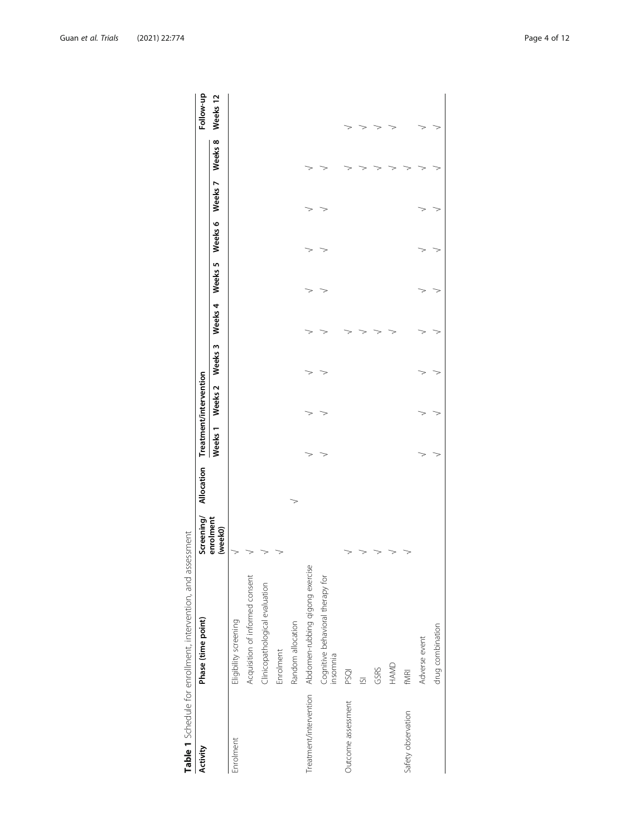<span id="page-3-0"></span>

| <b>Activity</b>    | Phase (time point)                                     | Screening/           | Allocation Treatment/intervention |         |                    |         |         |         |         |         |         | Follow-up |
|--------------------|--------------------------------------------------------|----------------------|-----------------------------------|---------|--------------------|---------|---------|---------|---------|---------|---------|-----------|
|                    |                                                        | enrolment<br>(week0) |                                   | Weeks 1 | Weeks <sub>2</sub> | Weeks 3 | Weeks 4 | Weeks 5 | Weeks 6 | Weeks 7 | Weeks 8 | Weeks 12  |
| Enrolment          | Eligibility screening                                  |                      |                                   |         |                    |         |         |         |         |         |         |           |
|                    | Acquisition of informed consent                        |                      |                                   |         |                    |         |         |         |         |         |         |           |
|                    | Clinicopathological evaluation                         |                      |                                   |         |                    |         |         |         |         |         |         |           |
|                    | Enrolment                                              |                      |                                   |         |                    |         |         |         |         |         |         |           |
|                    | Random allocation                                      |                      |                                   |         |                    |         |         |         |         |         |         |           |
|                    | Treatment/intervention Abdomen-rubbing qigong exercise |                      |                                   |         |                    |         |         |         |         |         |         |           |
|                    | Cognitive behavioral therapy for<br>insomnia           |                      |                                   |         |                    |         |         |         |         |         |         |           |
| Outcome assessment | <b>PSQI</b>                                            |                      |                                   |         |                    |         |         |         |         |         |         |           |
|                    | $\overline{\circ}$                                     |                      |                                   |         |                    |         |         |         |         |         |         |           |
|                    | GSRS                                                   |                      |                                   |         |                    |         |         |         |         |         |         |           |
|                    | HAMD                                                   |                      |                                   |         |                    |         |         |         |         |         |         |           |
| Safety observation | fMRI                                                   |                      |                                   |         |                    |         |         |         |         |         |         |           |
|                    | Adverse event                                          |                      |                                   |         |                    |         |         |         |         |         |         |           |
|                    | drug combination                                       |                      |                                   |         |                    |         |         |         |         |         |         |           |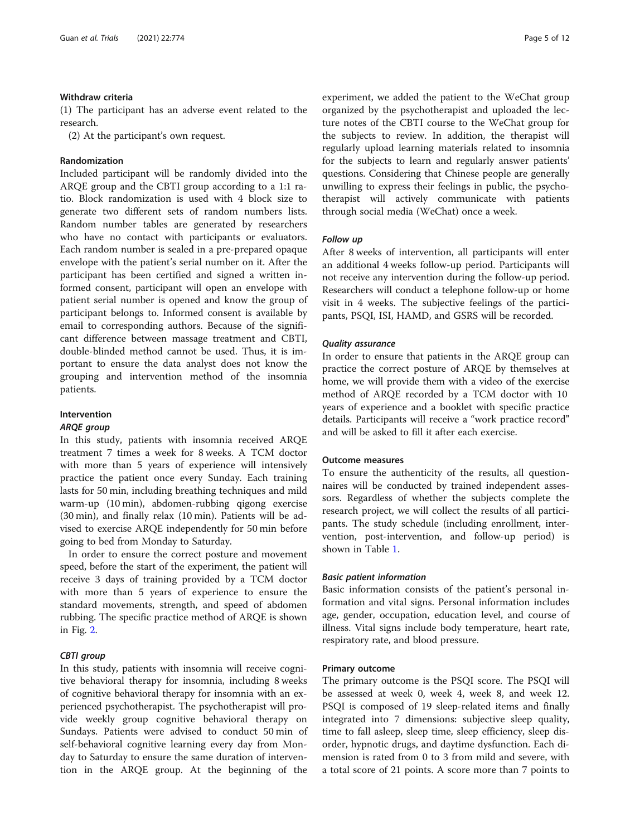## Withdraw criteria

(1) The participant has an adverse event related to the research.

(2) At the participant's own request.

## Randomization

Included participant will be randomly divided into the ARQE group and the CBTI group according to a 1:1 ratio. Block randomization is used with 4 block size to generate two different sets of random numbers lists. Random number tables are generated by researchers who have no contact with participants or evaluators. Each random number is sealed in a pre-prepared opaque envelope with the patient's serial number on it. After the participant has been certified and signed a written informed consent, participant will open an envelope with patient serial number is opened and know the group of participant belongs to. Informed consent is available by email to corresponding authors. Because of the significant difference between massage treatment and CBTI, double-blinded method cannot be used. Thus, it is important to ensure the data analyst does not know the grouping and intervention method of the insomnia patients.

## Intervention

## ARQE group

In this study, patients with insomnia received ARQE treatment 7 times a week for 8 weeks. A TCM doctor with more than 5 years of experience will intensively practice the patient once every Sunday. Each training lasts for 50 min, including breathing techniques and mild warm-up (10 min), abdomen-rubbing qigong exercise (30 min), and finally relax (10 min). Patients will be advised to exercise ARQE independently for 50 min before going to bed from Monday to Saturday.

In order to ensure the correct posture and movement speed, before the start of the experiment, the patient will receive 3 days of training provided by a TCM doctor with more than 5 years of experience to ensure the standard movements, strength, and speed of abdomen rubbing. The specific practice method of ARQE is shown in Fig. [2.](#page-5-0)

## CBTI group

In this study, patients with insomnia will receive cognitive behavioral therapy for insomnia, including 8 weeks of cognitive behavioral therapy for insomnia with an experienced psychotherapist. The psychotherapist will provide weekly group cognitive behavioral therapy on Sundays. Patients were advised to conduct 50 min of self-behavioral cognitive learning every day from Monday to Saturday to ensure the same duration of intervention in the ARQE group. At the beginning of the experiment, we added the patient to the WeChat group organized by the psychotherapist and uploaded the lecture notes of the CBTI course to the WeChat group for the subjects to review. In addition, the therapist will regularly upload learning materials related to insomnia for the subjects to learn and regularly answer patients' questions. Considering that Chinese people are generally unwilling to express their feelings in public, the psychotherapist will actively communicate with patients through social media (WeChat) once a week.

## Follow up

After 8 weeks of intervention, all participants will enter an additional 4 weeks follow-up period. Participants will not receive any intervention during the follow-up period. Researchers will conduct a telephone follow-up or home visit in 4 weeks. The subjective feelings of the participants, PSQI, ISI, HAMD, and GSRS will be recorded.

## Quality assurance

In order to ensure that patients in the ARQE group can practice the correct posture of ARQE by themselves at home, we will provide them with a video of the exercise method of ARQE recorded by a TCM doctor with 10 years of experience and a booklet with specific practice details. Participants will receive a "work practice record" and will be asked to fill it after each exercise.

## Outcome measures

To ensure the authenticity of the results, all questionnaires will be conducted by trained independent assessors. Regardless of whether the subjects complete the research project, we will collect the results of all participants. The study schedule (including enrollment, intervention, post-intervention, and follow-up period) is shown in Table [1.](#page-3-0)

## Basic patient information

Basic information consists of the patient's personal information and vital signs. Personal information includes age, gender, occupation, education level, and course of illness. Vital signs include body temperature, heart rate, respiratory rate, and blood pressure.

## Primary outcome

The primary outcome is the PSQI score. The PSQI will be assessed at week 0, week 4, week 8, and week 12. PSQI is composed of 19 sleep-related items and finally integrated into 7 dimensions: subjective sleep quality, time to fall asleep, sleep time, sleep efficiency, sleep disorder, hypnotic drugs, and daytime dysfunction. Each dimension is rated from 0 to 3 from mild and severe, with a total score of 21 points. A score more than 7 points to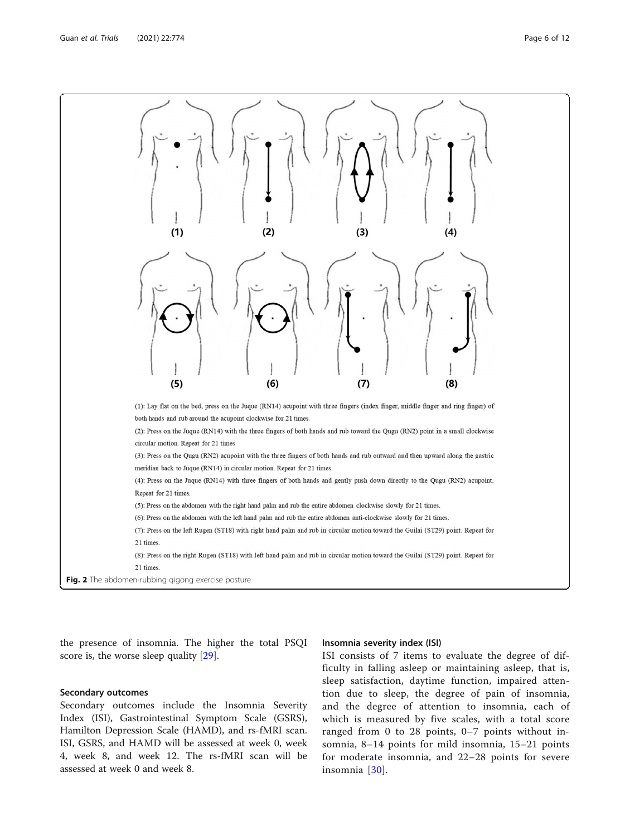<span id="page-5-0"></span>

the presence of insomnia. The higher the total PSQI score is, the worse sleep quality [\[29\]](#page-10-0).

## Insomnia severity index (ISI)

## Secondary outcomes

Secondary outcomes include the Insomnia Severity Index (ISI), Gastrointestinal Symptom Scale (GSRS), Hamilton Depression Scale (HAMD), and rs-fMRI scan. ISI, GSRS, and HAMD will be assessed at week 0, week 4, week 8, and week 12. The rs-fMRI scan will be assessed at week 0 and week 8.

ISI consists of 7 items to evaluate the degree of difficulty in falling asleep or maintaining asleep, that is, sleep satisfaction, daytime function, impaired attention due to sleep, the degree of pain of insomnia, and the degree of attention to insomnia, each of which is measured by five scales, with a total score ranged from 0 to 28 points, 0–7 points without insomnia, 8–14 points for mild insomnia, 15–21 points for moderate insomnia, and 22–28 points for severe insomnia [[30](#page-10-0)].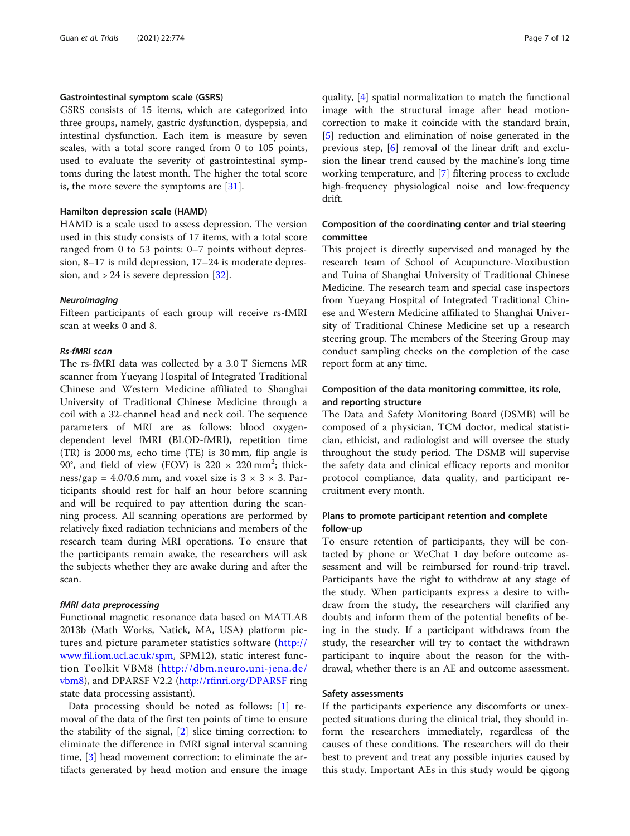## Gastrointestinal symptom scale (GSRS)

GSRS consists of 15 items, which are categorized into three groups, namely, gastric dysfunction, dyspepsia, and intestinal dysfunction. Each item is measure by seven scales, with a total score ranged from 0 to 105 points, used to evaluate the severity of gastrointestinal symptoms during the latest month. The higher the total score is, the more severe the symptoms are [[31](#page-10-0)].

## Hamilton depression scale (HAMD)

HAMD is a scale used to assess depression. The version used in this study consists of 17 items, with a total score ranged from 0 to 53 points: 0–7 points without depression, 8–17 is mild depression, 17–24 is moderate depression, and  $> 24$  is severe depression [[32\]](#page-10-0).

## Neuroimaging

Fifteen participants of each group will receive rs-fMRI scan at weeks 0 and 8.

## Rs-fMRI scan

The rs-fMRI data was collected by a 3.0 T Siemens MR scanner from Yueyang Hospital of Integrated Traditional Chinese and Western Medicine affiliated to Shanghai University of Traditional Chinese Medicine through a coil with a 32-channel head and neck coil. The sequence parameters of MRI are as follows: blood oxygendependent level fMRI (BLOD-fMRI), repetition time (TR) is 2000 ms, echo time (TE) is 30 mm, flip angle is 90°, and field of view (FOV) is  $220 \times 220$  mm<sup>2</sup>; thickness/gap =  $4.0/0.6$  mm, and voxel size is  $3 \times 3 \times 3$ . Participants should rest for half an hour before scanning and will be required to pay attention during the scanning process. All scanning operations are performed by relatively fixed radiation technicians and members of the research team during MRI operations. To ensure that the participants remain awake, the researchers will ask the subjects whether they are awake during and after the scan.

## fMRI data preprocessing

Functional magnetic resonance data based on MATLAB 2013b (Math Works, Natick, MA, USA) platform pictures and picture parameter statistics software ([http://](http://www.fil.iom.ucl.ac.uk/spm) [www.fil.iom.ucl.ac.uk/spm,](http://www.fil.iom.ucl.ac.uk/spm) SPM12), static interest function Toolkit VBM8 ([http://dbm.neuro.uni-jena.de/](http://dbm.neuro.uni-jena.de/vbm8) [vbm8](http://dbm.neuro.uni-jena.de/vbm8)), and DPARSF V2.2 [\(http://rfinri.org/DPARSF](http://rfinri.org/DPARSF) ring state data processing assistant).

Data processing should be noted as follows: [[1\]](#page-10-0) removal of the data of the first ten points of time to ensure the stability of the signal, [\[2](#page-10-0)] slice timing correction: to eliminate the difference in fMRI signal interval scanning time, [\[3](#page-10-0)] head movement correction: to eliminate the artifacts generated by head motion and ensure the image

quality, [[4\]](#page-10-0) spatial normalization to match the functional image with the structural image after head motioncorrection to make it coincide with the standard brain, [[5\]](#page-10-0) reduction and elimination of noise generated in the previous step, [[6\]](#page-10-0) removal of the linear drift and exclusion the linear trend caused by the machine's long time working temperature, and [\[7](#page-10-0)] filtering process to exclude high-frequency physiological noise and low-frequency drift.

## Composition of the coordinating center and trial steering committee

This project is directly supervised and managed by the research team of School of Acupuncture-Moxibustion and Tuina of Shanghai University of Traditional Chinese Medicine. The research team and special case inspectors from Yueyang Hospital of Integrated Traditional Chinese and Western Medicine affiliated to Shanghai University of Traditional Chinese Medicine set up a research steering group. The members of the Steering Group may conduct sampling checks on the completion of the case report form at any time.

## Composition of the data monitoring committee, its role, and reporting structure

The Data and Safety Monitoring Board (DSMB) will be composed of a physician, TCM doctor, medical statistician, ethicist, and radiologist and will oversee the study throughout the study period. The DSMB will supervise the safety data and clinical efficacy reports and monitor protocol compliance, data quality, and participant recruitment every month.

## Plans to promote participant retention and complete follow-up

To ensure retention of participants, they will be contacted by phone or WeChat 1 day before outcome assessment and will be reimbursed for round-trip travel. Participants have the right to withdraw at any stage of the study. When participants express a desire to withdraw from the study, the researchers will clarified any doubts and inform them of the potential benefits of being in the study. If a participant withdraws from the study, the researcher will try to contact the withdrawn participant to inquire about the reason for the withdrawal, whether there is an AE and outcome assessment.

## Safety assessments

If the participants experience any discomforts or unexpected situations during the clinical trial, they should inform the researchers immediately, regardless of the causes of these conditions. The researchers will do their best to prevent and treat any possible injuries caused by this study. Important AEs in this study would be qigong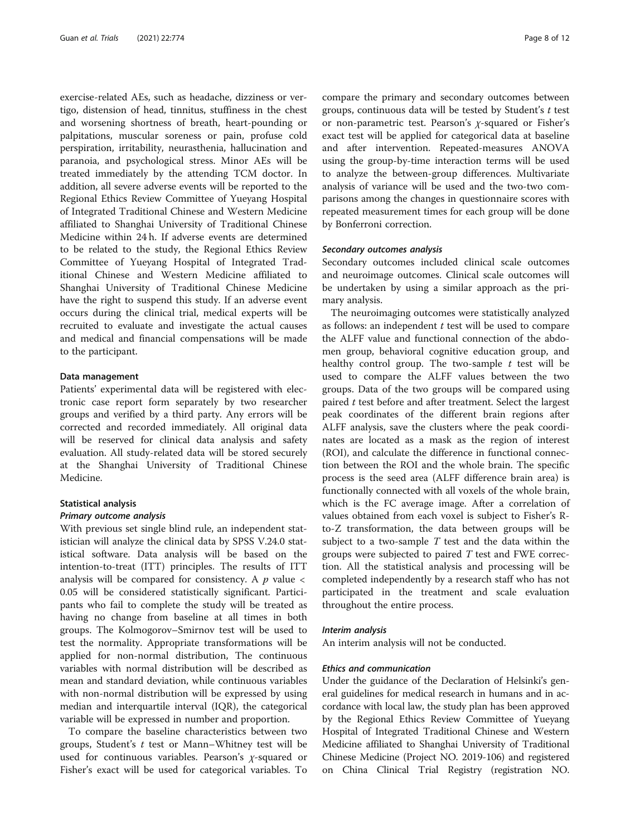exercise-related AEs, such as headache, dizziness or vertigo, distension of head, tinnitus, stuffiness in the chest and worsening shortness of breath, heart-pounding or palpitations, muscular soreness or pain, profuse cold perspiration, irritability, neurasthenia, hallucination and paranoia, and psychological stress. Minor AEs will be treated immediately by the attending TCM doctor. In addition, all severe adverse events will be reported to the Regional Ethics Review Committee of Yueyang Hospital of Integrated Traditional Chinese and Western Medicine affiliated to Shanghai University of Traditional Chinese Medicine within 24 h. If adverse events are determined to be related to the study, the Regional Ethics Review Committee of Yueyang Hospital of Integrated Traditional Chinese and Western Medicine affiliated to Shanghai University of Traditional Chinese Medicine have the right to suspend this study. If an adverse event occurs during the clinical trial, medical experts will be recruited to evaluate and investigate the actual causes and medical and financial compensations will be made to the participant.

## Data management

Patients' experimental data will be registered with electronic case report form separately by two researcher groups and verified by a third party. Any errors will be corrected and recorded immediately. All original data will be reserved for clinical data analysis and safety evaluation. All study-related data will be stored securely at the Shanghai University of Traditional Chinese Medicine.

## Statistical analysis

## Primary outcome analysis

With previous set single blind rule, an independent statistician will analyze the clinical data by SPSS V.24.0 statistical software. Data analysis will be based on the intention-to-treat (ITT) principles. The results of ITT analysis will be compared for consistency. A  $p$  value  $\lt$ 0.05 will be considered statistically significant. Participants who fail to complete the study will be treated as having no change from baseline at all times in both groups. The Kolmogorov–Smirnov test will be used to test the normality. Appropriate transformations will be applied for non-normal distribution, The continuous variables with normal distribution will be described as mean and standard deviation, while continuous variables with non-normal distribution will be expressed by using median and interquartile interval (IQR), the categorical variable will be expressed in number and proportion.

To compare the baseline characteristics between two groups, Student's  $t$  test or Mann–Whitney test will be used for continuous variables. Pearson's  $\chi$ -squared or Fisher's exact will be used for categorical variables. To compare the primary and secondary outcomes between groups, continuous data will be tested by Student's  $t$  test or non-parametric test. Pearson's χ-squared or Fisher's exact test will be applied for categorical data at baseline and after intervention. Repeated-measures ANOVA using the group-by-time interaction terms will be used to analyze the between-group differences. Multivariate analysis of variance will be used and the two-two comparisons among the changes in questionnaire scores with repeated measurement times for each group will be done by Bonferroni correction.

## Secondary outcomes analysis

Secondary outcomes included clinical scale outcomes and neuroimage outcomes. Clinical scale outcomes will be undertaken by using a similar approach as the primary analysis.

The neuroimaging outcomes were statistically analyzed as follows: an independent  $t$  test will be used to compare the ALFF value and functional connection of the abdomen group, behavioral cognitive education group, and healthy control group. The two-sample  $t$  test will be used to compare the ALFF values between the two groups. Data of the two groups will be compared using paired  $t$  test before and after treatment. Select the largest peak coordinates of the different brain regions after ALFF analysis, save the clusters where the peak coordinates are located as a mask as the region of interest (ROI), and calculate the difference in functional connection between the ROI and the whole brain. The specific process is the seed area (ALFF difference brain area) is functionally connected with all voxels of the whole brain, which is the FC average image. After a correlation of values obtained from each voxel is subject to Fisher's Rto-Z transformation, the data between groups will be subject to a two-sample  $T$  test and the data within the groups were subjected to paired  $T$  test and FWE correction. All the statistical analysis and processing will be completed independently by a research staff who has not participated in the treatment and scale evaluation throughout the entire process.

## Interim analysis

An interim analysis will not be conducted.

## Ethics and communication

Under the guidance of the Declaration of Helsinki's general guidelines for medical research in humans and in accordance with local law, the study plan has been approved by the Regional Ethics Review Committee of Yueyang Hospital of Integrated Traditional Chinese and Western Medicine affiliated to Shanghai University of Traditional Chinese Medicine (Project NO. 2019-106) and registered on China Clinical Trial Registry (registration NO.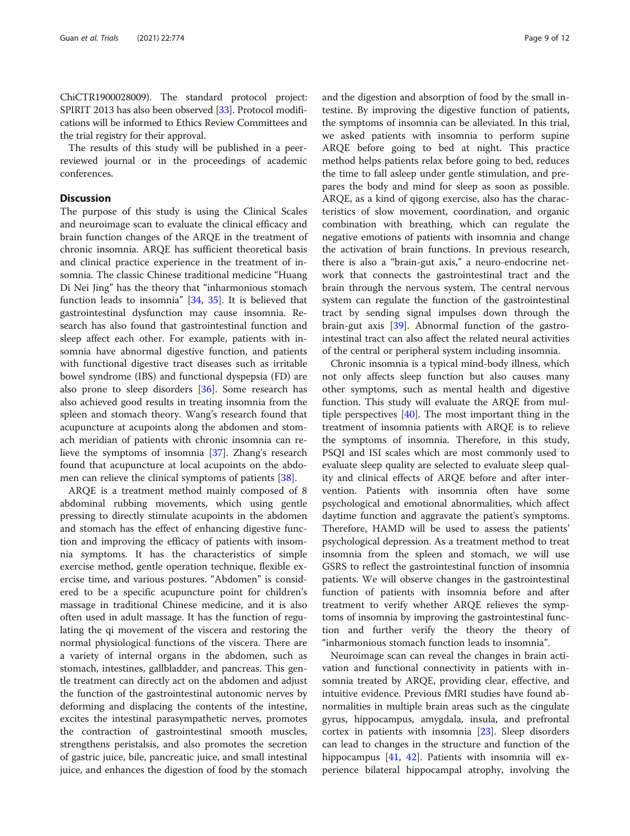ChiCTR1900028009). The standard protocol project: SPIRIT 2013 has also been observed [\[33\]](#page-10-0). Protocol modifications will be informed to Ethics Review Committees and the trial registry for their approval.

The results of this study will be published in a peerreviewed journal or in the proceedings of academic conferences.

## **Discussion**

The purpose of this study is using the Clinical Scales and neuroimage scan to evaluate the clinical efficacy and brain function changes of the ARQE in the treatment of chronic insomnia. ARQE has sufficient theoretical basis and clinical practice experience in the treatment of insomnia. The classic Chinese traditional medicine "Huang Di Nei Jing" has the theory that "inharmonious stomach function leads to insomnia" [[34](#page-10-0), [35](#page-10-0)]. It is believed that gastrointestinal dysfunction may cause insomnia. Research has also found that gastrointestinal function and sleep affect each other. For example, patients with insomnia have abnormal digestive function, and patients with functional digestive tract diseases such as irritable bowel syndrome (IBS) and functional dyspepsia (FD) are also prone to sleep disorders [\[36](#page-10-0)]. Some research has also achieved good results in treating insomnia from the spleen and stomach theory. Wang's research found that acupuncture at acupoints along the abdomen and stomach meridian of patients with chronic insomnia can relieve the symptoms of insomnia [[37\]](#page-10-0). Zhang's research found that acupuncture at local acupoints on the abdomen can relieve the clinical symptoms of patients [[38\]](#page-10-0).

ARQE is a treatment method mainly composed of 8 abdominal rubbing movements, which using gentle pressing to directly stimulate acupoints in the abdomen and stomach has the effect of enhancing digestive function and improving the efficacy of patients with insomnia symptoms. It has the characteristics of simple exercise method, gentle operation technique, flexible exercise time, and various postures. "Abdomen" is considered to be a specific acupuncture point for children's massage in traditional Chinese medicine, and it is also often used in adult massage. It has the function of regulating the qi movement of the viscera and restoring the normal physiological functions of the viscera. There are a variety of internal organs in the abdomen, such as stomach, intestines, gallbladder, and pancreas. This gentle treatment can directly act on the abdomen and adjust the function of the gastrointestinal autonomic nerves by deforming and displacing the contents of the intestine, excites the intestinal parasympathetic nerves, promotes the contraction of gastrointestinal smooth muscles, strengthens peristalsis, and also promotes the secretion of gastric juice, bile, pancreatic juice, and small intestinal juice, and enhances the digestion of food by the stomach and the digestion and absorption of food by the small intestine. By improving the digestive function of patients, the symptoms of insomnia can be alleviated. In this trial, we asked patients with insomnia to perform supine ARQE before going to bed at night. This practice method helps patients relax before going to bed, reduces the time to fall asleep under gentle stimulation, and prepares the body and mind for sleep as soon as possible. ARQE, as a kind of qigong exercise, also has the characteristics of slow movement, coordination, and organic combination with breathing, which can regulate the negative emotions of patients with insomnia and change the activation of brain functions. In previous research, there is also a "brain-gut axis," a neuro-endocrine network that connects the gastrointestinal tract and the brain through the nervous system. The central nervous system can regulate the function of the gastrointestinal tract by sending signal impulses down through the brain-gut axis [[39\]](#page-10-0). Abnormal function of the gastrointestinal tract can also affect the related neural activities of the central or peripheral system including insomnia.

Chronic insomnia is a typical mind-body illness, which not only affects sleep function but also causes many other symptoms, such as mental health and digestive function. This study will evaluate the ARQE from multiple perspectives [\[40](#page-10-0)]. The most important thing in the treatment of insomnia patients with ARQE is to relieve the symptoms of insomnia. Therefore, in this study, PSQI and ISI scales which are most commonly used to evaluate sleep quality are selected to evaluate sleep quality and clinical effects of ARQE before and after intervention. Patients with insomnia often have some psychological and emotional abnormalities, which affect daytime function and aggravate the patient's symptoms. Therefore, HAMD will be used to assess the patients' psychological depression. As a treatment method to treat insomnia from the spleen and stomach, we will use GSRS to reflect the gastrointestinal function of insomnia patients. We will observe changes in the gastrointestinal function of patients with insomnia before and after treatment to verify whether ARQE relieves the symptoms of insomnia by improving the gastrointestinal function and further verify the theory the theory of "inharmonious stomach function leads to insomnia".

Neuroimage scan can reveal the changes in brain activation and functional connectivity in patients with insomnia treated by ARQE, providing clear, effective, and intuitive evidence. Previous fMRI studies have found abnormalities in multiple brain areas such as the cingulate gyrus, hippocampus, amygdala, insula, and prefrontal cortex in patients with insomnia [\[23](#page-10-0)]. Sleep disorders can lead to changes in the structure and function of the hippocampus [\[41](#page-10-0), [42](#page-11-0)]. Patients with insomnia will experience bilateral hippocampal atrophy, involving the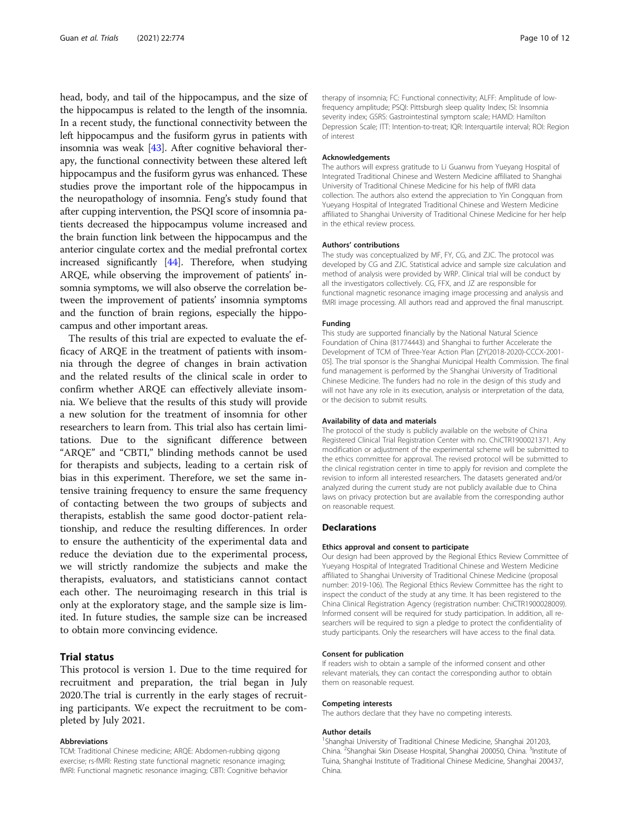head, body, and tail of the hippocampus, and the size of the hippocampus is related to the length of the insomnia. In a recent study, the functional connectivity between the left hippocampus and the fusiform gyrus in patients with insomnia was weak [\[43\]](#page-11-0). After cognitive behavioral therapy, the functional connectivity between these altered left hippocampus and the fusiform gyrus was enhanced. These studies prove the important role of the hippocampus in the neuropathology of insomnia. Feng's study found that after cupping intervention, the PSQI score of insomnia patients decreased the hippocampus volume increased and the brain function link between the hippocampus and the anterior cingulate cortex and the medial prefrontal cortex increased significantly [\[44\]](#page-11-0). Therefore, when studying ARQE, while observing the improvement of patients' insomnia symptoms, we will also observe the correlation between the improvement of patients' insomnia symptoms and the function of brain regions, especially the hippocampus and other important areas.

The results of this trial are expected to evaluate the efficacy of ARQE in the treatment of patients with insomnia through the degree of changes in brain activation and the related results of the clinical scale in order to confirm whether ARQE can effectively alleviate insomnia. We believe that the results of this study will provide a new solution for the treatment of insomnia for other researchers to learn from. This trial also has certain limitations. Due to the significant difference between "ARQE" and "CBTI," blinding methods cannot be used for therapists and subjects, leading to a certain risk of bias in this experiment. Therefore, we set the same intensive training frequency to ensure the same frequency of contacting between the two groups of subjects and therapists, establish the same good doctor-patient relationship, and reduce the resulting differences. In order to ensure the authenticity of the experimental data and reduce the deviation due to the experimental process, we will strictly randomize the subjects and make the therapists, evaluators, and statisticians cannot contact each other. The neuroimaging research in this trial is only at the exploratory stage, and the sample size is limited. In future studies, the sample size can be increased to obtain more convincing evidence.

## Trial status

This protocol is version 1. Due to the time required for recruitment and preparation, the trial began in July 2020.The trial is currently in the early stages of recruiting participants. We expect the recruitment to be completed by July 2021.

#### Abbreviations

TCM: Traditional Chinese medicine; ARQE: Abdomen-rubbing qigong exercise; rs-fMRI: Resting state functional magnetic resonance imaging; fMRI: Functional magnetic resonance imaging; CBTI: Cognitive behavior

therapy of insomnia; FC: Functional connectivity; ALFF: Amplitude of lowfrequency amplitude; PSQI: Pittsburgh sleep quality Index; ISI: Insomnia severity index; GSRS: Gastrointestinal symptom scale; HAMD: Hamilton Depression Scale; ITT: Intention-to-treat; IQR: Interquartile interval; ROI: Region of interest

#### Acknowledgements

The authors will express gratitude to Li Guanwu from Yueyang Hospital of Integrated Traditional Chinese and Western Medicine affiliated to Shanghai University of Traditional Chinese Medicine for his help of fMRI data collection. The authors also extend the appreciation to Yin Congquan from Yueyang Hospital of Integrated Traditional Chinese and Western Medicine affiliated to Shanghai University of Traditional Chinese Medicine for her help in the ethical review process.

## Authors' contributions

The study was conceptualized by MF, FY, CG, and ZJC. The protocol was developed by CG and ZJC. Statistical advice and sample size calculation and method of analysis were provided by WRP. Clinical trial will be conduct by all the investigators collectively. CG, FFX, and JZ are responsible for functional magnetic resonance imaging image processing and analysis and fMRI image processing. All authors read and approved the final manuscript.

## Funding

This study are supported financially by the National Natural Science Foundation of China (81774443) and Shanghai to further Accelerate the Development of TCM of Three-Year Action Plan [ZY(2018-2020)-CCCX-2001- 05]. The trial sponsor is the Shanghai Municipal Health Commission. The final fund management is performed by the Shanghai University of Traditional Chinese Medicine. The funders had no role in the design of this study and will not have any role in its execution, analysis or interpretation of the data, or the decision to submit results.

#### Availability of data and materials

The protocol of the study is publicly available on the website of China Registered Clinical Trial Registration Center with no. ChiCTR1900021371. Any modification or adjustment of the experimental scheme will be submitted to the ethics committee for approval. The revised protocol will be submitted to the clinical registration center in time to apply for revision and complete the revision to inform all interested researchers. The datasets generated and/or analyzed during the current study are not publicly available due to China laws on privacy protection but are available from the corresponding author on reasonable request.

## Declarations

#### Ethics approval and consent to participate

Our design had been approved by the Regional Ethics Review Committee of Yueyang Hospital of Integrated Traditional Chinese and Western Medicine affiliated to Shanghai University of Traditional Chinese Medicine (proposal number: 2019-106). The Regional Ethics Review Committee has the right to inspect the conduct of the study at any time. It has been registered to the China Clinical Registration Agency (registration number: ChiCTR1900028009). Informed consent will be required for study participation. In addition, all researchers will be required to sign a pledge to protect the confidentiality of study participants. Only the researchers will have access to the final data.

## Consent for publication

If readers wish to obtain a sample of the informed consent and other relevant materials, they can contact the corresponding author to obtain them on reasonable request.

#### Competing interests

The authors declare that they have no competing interests.

## Author details

<sup>1</sup>Shanghai University of Traditional Chinese Medicine, Shanghai 201203 China.<sup>2</sup>Shanghai Skin Disease Hospital, Shanghai 200050, China.<sup>3</sup>Institute of Tuina, Shanghai Institute of Traditional Chinese Medicine, Shanghai 200437, China.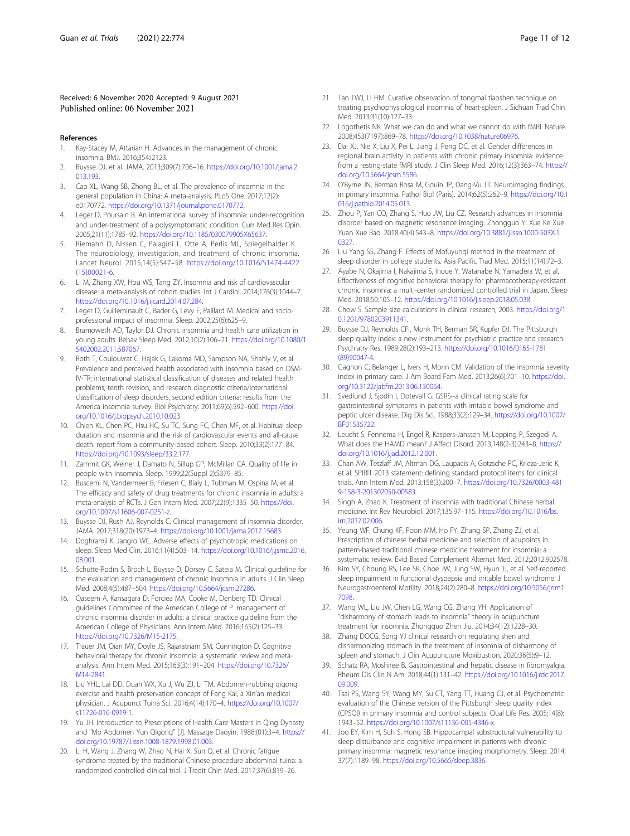## <span id="page-10-0"></span>Received: 6 November 2020 Accepted: 9 August 2021 Published online: 06 November 2021

## References

- 1. Kay-Stacey M, Attarian H. Advances in the management of chronic insomnia. BMJ. 2016;354:i2123.
- 2. Buysse DJ, et al. JAMA. 2013;309(7):706–16. [https://doi.org/10.1001/jama.2](https://doi.org/10.1001/jama.2013.193) [013.193](https://doi.org/10.1001/jama.2013.193).
- 3. Cao XL, Wang SB, Zhong BL, et al. The prevalence of insomnia in the general population in China: A meta-analysis. PLoS One. 2017;12(2): e0170772. <https://doi.org/10.1371/journal.pone.0170772>.
- 4. Leger D, Poursain B. An international survey of insomnia: under-recognition and under-treatment of a polysymptomatic condition. Curr Med Res Opin. 2005;21(11):1785–92. <https://doi.org/10.1185/030079905X65637>.
- Riemann D, Nissen C, Palagini L, Otte A, Perlis ML, Spiegelhalder K. The neurobiology, investigation, and treatment of chronic insomnia. Lancet Neurol. 2015;14(5):547–58. [https://doi.org/10.1016/S1474-4422](https://doi.org/10.1016/S1474-4422(15)00021-6) [\(15\)00021-6.](https://doi.org/10.1016/S1474-4422(15)00021-6)
- 6. Li M, Zhang XW, Hou WS, Tang ZY. Insomnia and risk of cardiovascular disease: a meta-analysis of cohort studies. Int J Cardiol. 2014;176(3):1044–7. <https://doi.org/10.1016/j.ijcard.2014.07.284>.
- 7. Leger D, Guilleminault C, Bader G, Levy E, Paillard M. Medical and socioprofessional impact of insomnia. Sleep. 2002;25(6):625–9.
- 8. Bramoweth AD, Taylor DJ. Chronic insomnia and health care utilization in young adults. Behav Sleep Med. 2012;10(2):106–21. [https://doi.org/10.1080/1](https://doi.org/10.1080/15402002.2011.587067) [5402002.2011.587067](https://doi.org/10.1080/15402002.2011.587067).
- 9. Roth T, Coulouvrat C, Hajak G, Lakoma MD, Sampson NA, Shahly V, et al. Prevalence and perceived health associated with insomnia based on DSM-IV-TR; international statistical classification of diseases and related health problems, tenth revision; and research diagnostic criteria/international classification of sleep disorders, second edition criteria: results from the America insomnia survey. Biol Psychiatry. 2011;69(6):592–600. [https://doi.](https://doi.org/10.1016/j.biopsych.2010.10.023) [org/10.1016/j.biopsych.2010.10.023.](https://doi.org/10.1016/j.biopsych.2010.10.023)
- 10. Chien KL, Chen PC, Hsu HC, Su TC, Sung FC, Chen MF, et al. Habitual sleep duration and insomnia and the risk of cardiovascular events and all-cause death: report from a community-based cohort. Sleep. 2010;33(2):177–84. [https://doi.org/10.1093/sleep/33.2.177.](https://doi.org/10.1093/sleep/33.2.177)
- 11. Zammit GK, Weiner J, Damato N, Sillup GP, McMillan CA. Quality of life in people with insomnia. Sleep. 1999;22(Suppl 2):S379–85.
- 12. Buscemi N, Vandermeer B, Friesen C, Bialy L, Tubman M, Ospina M, et al. The efficacy and safety of drug treatments for chronic insomnia in adults: a meta-analysis of RCTs. J Gen Intern Med. 2007;22(9):1335–50. [https://doi.](https://doi.org/10.1007/s11606-007-0251-z) [org/10.1007/s11606-007-0251-z.](https://doi.org/10.1007/s11606-007-0251-z)
- 13. Buysse DJ, Rush AJ, Reynolds C. Clinical management of insomnia disorder. JAMA. 2017;318(20):1973–4. [https://doi.org/10.1001/jama.2017.15683.](https://doi.org/10.1001/jama.2017.15683)
- 14. Doghramji K, Jangro WC. Adverse effects of psychotropic medications on sleep. Sleep Med Clin. 2016;11(4):503–14. [https://doi.org/10.1016/j.jsmc.2016.](https://doi.org/10.1016/j.jsmc.2016.08.001) [08.001.](https://doi.org/10.1016/j.jsmc.2016.08.001)
- 15. Schutte-Rodin S, Broch L, Buysse D, Dorsey C, Sateia M. Clinical guideline for the evaluation and management of chronic insomnia in adults. J Clin Sleep Med. 2008;4(5):487–504. <https://doi.org/10.5664/jcsm.27286>.
- 16. Qaseem A, Kansagara D, Forciea MA, Cooke M, Denberg TD. Clinical guidelines Committee of the American College of P. management of chronic insomnia disorder in adults: a clinical practice guideline from the American College of Physicians. Ann Intern Med. 2016;165(2):125–33. [https://doi.org/10.7326/M15-2175.](https://doi.org/10.7326/M15-2175)
- 17. Trauer JM, Qian MY, Doyle JS, Rajaratnam SM, Cunnington D. Cognitive behavioral therapy for chronic insomnia: a systematic review and metaanalysis. Ann Intern Med. 2015;163(3):191–204. [https://doi.org/10.7326/](https://doi.org/10.7326/M14-2841) [M14-2841.](https://doi.org/10.7326/M14-2841)
- 18. Liu YHL, Lai DD, Duan WX, Xu J, Wu ZJ, Li TM. Abdomen-rubbing qigong exercise and health preservation concept of Fang Kai, a Xin'an medical physician. J Acupunct Tuina Sci. 2016;4(14):170–4. [https://doi.org/10.1007/](https://doi.org/10.1007/s11726-016-0919-1) [s11726-016-0919-1.](https://doi.org/10.1007/s11726-016-0919-1)
- 19. Yu JH. Introduction to Prescriptions of Health Care Masters in Qing Dynasty and "Mo Abdomen Yun Qigong" [J]. Massage Daoyin. 1988;(01):3–4. [https://](https://doi.org/10.19787/J.issn.1008-1879.1998.01.003) [doi.org/10.19787/J.issn.1008-1879.1998.01.003.](https://doi.org/10.19787/J.issn.1008-1879.1998.01.003)
- 20. Li H, Wang J, Zhang W, Zhao N, Hai X, Sun Q, et al. Chronic fatigue syndrome treated by the traditional Chinese procedure abdominal tuina: a randomized controlled clinical trial. J Tradit Chin Med. 2017;37(6):819–26.
- 21. Tan TWJ, LI HM. Curative observation of tongmai tiaoshen technique on treating psychophysiological insomnia of heart-spleen. J Sichuan Trad Chin Med. 2013;31(10):127–33.
- 22. Logothetis NK. What we can do and what we cannot do with fMRI. Nature. 2008;453(7197):869–78. [https://doi.org/10.1038/nature06976.](https://doi.org/10.1038/nature06976)
- 23. Dai XJ, Nie X, Liu X, Pei L, Jiang J, Peng DC, et al. Gender differences in regional brain activity in patients with chronic primary insomnia: evidence from a resting-state fMRI study. J Clin Sleep Med. 2016;12(3):363–74. [https://](https://doi.org/10.5664/jcsm.5586) [doi.org/10.5664/jcsm.5586](https://doi.org/10.5664/jcsm.5586).
- 24. O'Byrne JN, Berman Rosa M, Gouin JP, Dang-Vu TT. Neuroimaging findings in primary insomnia. Pathol Biol (Paris). 2014;62(5):262–9. [https://doi.org/10.1](https://doi.org/10.1016/j.patbio.2014.05.013) [016/j.patbio.2014.05.013.](https://doi.org/10.1016/j.patbio.2014.05.013)
- 25. Zhou P, Yan CQ, Zhang S, Huo JW, Liu CZ. Research advances in insomnia disorder based on magnetic resonance imaging. Zhongguo Yi Xue Ke Xue Yuan Xue Bao. 2018;40(4):543–8. [https://doi.org/10.3881/j.issn.1000-503X.1](https://doi.org/10.3881/j.issn.1000-503X.10327) [0327](https://doi.org/10.3881/j.issn.1000-503X.10327).
- 26. Liu Yang SS, Zhang F. Effects of Mofuyunqi method in the treatment of sleep disorder in college students. Asia Pacific Trad Med. 2015;11(14):72–3.
- 27. Ayabe N, Okajima I, Nakajima S, Inoue Y, Watanabe N, Yamadera W, et al. Effectiveness of cognitive behavioral therapy for pharmacotherapy-resistant chronic insomnia: a multi-center randomized controlled trial in Japan. Sleep Med. 2018;50:105–12. [https://doi.org/10.1016/j.sleep.2018.05.038.](https://doi.org/10.1016/j.sleep.2018.05.038)
- 28. Chow S. Sample size calculations in clinical research; 2003. [https://doi.org/1](https://doi.org/10.1201/9780203911341) [0.1201/9780203911341.](https://doi.org/10.1201/9780203911341)
- 29. Buysse DJ, Reynolds CFI, Monk TH, Berman SR, Kupfer DJ. The Pittsburgh sleep quality index: a new instrument for psychiatric practice and research. Psychiatry Res. 1989;28(2):193–213. [https://doi.org/10.1016/0165-1781](https://doi.org/10.1016/0165-1781(89)90047-4) [\(89\)90047-4.](https://doi.org/10.1016/0165-1781(89)90047-4)
- 30. Gagnon C, Belanger L, Ivers H, Morin CM. Validation of the insomnia severity index in primary care. J Am Board Fam Med. 2013;26(6):701–10. [https://doi.](https://doi.org/10.3122/jabfm.2013.06.130064) [org/10.3122/jabfm.2013.06.130064.](https://doi.org/10.3122/jabfm.2013.06.130064)
- 31. Svedlund J, Sjodin I, Dotevall G. GSRS--a clinical rating scale for gastrointestinal symptoms in patients with irritable bowel syndrome and peptic ulcer disease. Dig Dis Sci. 1988;33(2):129–34. [https://doi.org/10.1007/](https://doi.org/10.1007/BF01535722) [BF01535722.](https://doi.org/10.1007/BF01535722)
- 32. Leucht S, Fennema H, Engel R, Kaspers-Janssen M, Lepping P, Szegedi A. What does the HAMD mean? J Affect Disord. 2013;148(2-3):243–8. [https://](https://doi.org/10.1016/j.jad.2012.12.001) [doi.org/10.1016/j.jad.2012.12.001.](https://doi.org/10.1016/j.jad.2012.12.001)
- 33. Chan AW, Tetzlaff JM, Altman DG, Laupacis A, Gotzsche PC, Krleza-Jeric K, et al. SPIRIT 2013 statement: defining standard protocol items for clinical trials. Ann Intern Med. 2013;158(3):200–7. [https://doi.org/10.7326/0003-481](https://doi.org/10.7326/0003-4819-158-3-201302050-00583) [9-158-3-201302050-00583.](https://doi.org/10.7326/0003-4819-158-3-201302050-00583)
- 34. Singh A, Zhao K. Treatment of insomnia with traditional Chinese herbal medicine. Int Rev Neurobiol. 2017;135:97–115. [https://doi.org/10.1016/bs.](https://doi.org/10.1016/bs.irn.2017.02.006) [irn.2017.02.006](https://doi.org/10.1016/bs.irn.2017.02.006).
- 35. Yeung WF, Chung KF, Poon MM, Ho FY, Zhang SP, Zhang ZJ, et al. Prescription of chinese herbal medicine and selection of acupoints in pattern-based traditional chinese medicine treatment for insomnia: a systematic review. Evid Based Complement Alternat Med. 2012;2012:902578.
- 36. Kim SY, Choung RS, Lee SK, Choe JW, Jung SW, Hyun JJ, et al. Self-reported sleep impairment in functional dyspepsia and irritable bowel syndrome. J Neurogastroenterol Motility. 2018;24(2):280–8. [https://doi.org/10.5056/jnm1](https://doi.org/10.5056/jnm17098) [7098](https://doi.org/10.5056/jnm17098).
- 37. Wang WL, Liu JW, Chen LG, Wang CG, Zhang YH. Application of "disharmony of stomach leads to insomnia" theory in acupuncture treatment for insomnia. Zhongguo Zhen Jiu. 2014;34(12):1228–30.
- 38. Zhang DQCG. Song YJ clinical research on regulating shen and disharmonizing stomach in the treatment of insomnia of disharmony of spleen and stomach. J Clin Acupuncture Moxibustion. 2020;36(5):9–12.
- 39. Schatz RA, Moshiree B. Gastrointestinal and hepatic disease in fibromyalgia. Rheum Dis Clin N Am. 2018;44(1):131–42. [https://doi.org/10.1016/j.rdc.2017.](https://doi.org/10.1016/j.rdc.2017.09.009) [09.009](https://doi.org/10.1016/j.rdc.2017.09.009).
- 40. Tsai PS, Wang SY, Wang MY, Su CT, Yang TT, Huang CJ, et al. Psychometric evaluation of the Chinese version of the Pittsburgh sleep quality index (CPSQI) in primary insomnia and control subjects. Qual Life Res. 2005;14(8): 1943–52. <https://doi.org/10.1007/s11136-005-4346-x>.
- 41. Joo EY, Kim H, Suh S, Hong SB. Hippocampal substructural vulnerability to sleep disturbance and cognitive impairment in patients with chronic primary insomnia: magnetic resonance imaging morphometry. Sleep. 2014; 37(7):1189–98. <https://doi.org/10.5665/sleep.3836>.